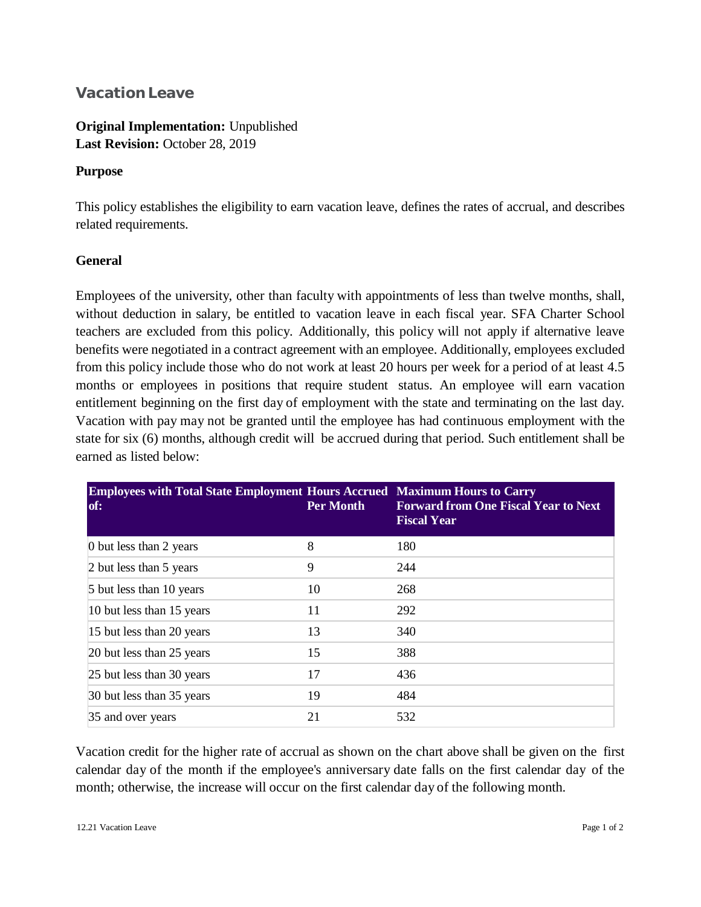## **Vacation Leave**

**Original Implementation:** Unpublished **Last Revision:** October 28, 2019

## **Purpose**

This policy establishes the eligibility to earn vacation leave, defines the rates of accrual, and describes related requirements.

## **General**

Employees of the university, other than faculty with appointments of less than twelve months, shall, without deduction in salary, be entitled to vacation leave in each fiscal year. SFA Charter School teachers are excluded from this policy. Additionally, this policy will not apply if alternative leave benefits were negotiated in a contract agreement with an employee. Additionally, employees excluded from this policy include those who do not work at least 20 hours per week for a period of at least 4.5 months or employees in positions that require student status. An employee will earn vacation entitlement beginning on the first day of employment with the state and terminating on the last day. Vacation with pay may not be granted until the employee has had continuous employment with the state for six (6) months, although credit will be accrued during that period. Such entitlement shall be earned as listed below:

| <b>Employees with Total State Employment Hours Accrued Maximum Hours to Carry</b><br>of: | Per Month | <b>Forward from One Fiscal Year to Next</b><br><b>Fiscal Year</b> |
|------------------------------------------------------------------------------------------|-----------|-------------------------------------------------------------------|
| 0 but less than 2 years                                                                  | 8         | 180                                                               |
| 2 but less than 5 years                                                                  | 9         | 244                                                               |
| 5 but less than 10 years                                                                 | 10        | 268                                                               |
| 10 but less than 15 years                                                                | 11        | 292                                                               |
| 15 but less than 20 years                                                                | 13        | 340                                                               |
| 20 but less than 25 years                                                                | 15        | 388                                                               |
| 25 but less than 30 years                                                                | 17        | 436                                                               |
| 30 but less than 35 years                                                                | 19        | 484                                                               |
| 35 and over years                                                                        | 21        | 532                                                               |

Vacation credit for the higher rate of accrual as shown on the chart above shall be given on the first calendar day of the month if the employee's anniversary date falls on the first calendar day of the month; otherwise, the increase will occur on the first calendar day of the following month.